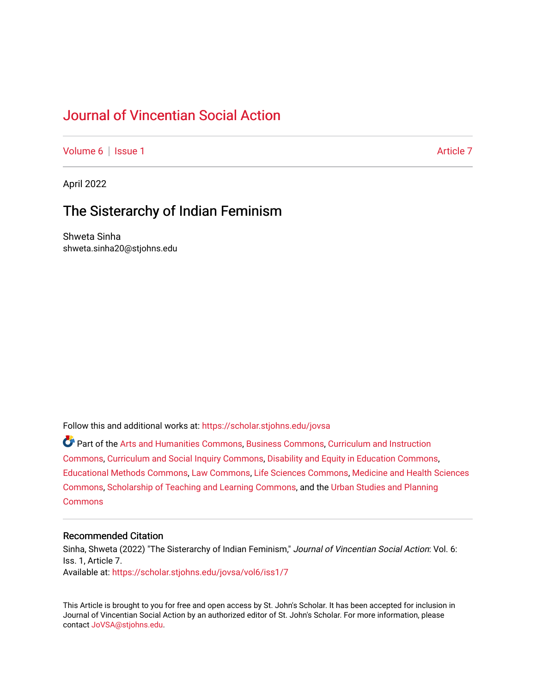# [Journal of Vincentian Social Action](https://scholar.stjohns.edu/jovsa)

[Volume 6](https://scholar.stjohns.edu/jovsa/vol6) | [Issue 1](https://scholar.stjohns.edu/jovsa/vol6/iss1) Article 7

April 2022

# The Sisterarchy of Indian Feminism

Shweta Sinha shweta.sinha20@stjohns.edu

Follow this and additional works at: [https://scholar.stjohns.edu/jovsa](https://scholar.stjohns.edu/jovsa?utm_source=scholar.stjohns.edu%2Fjovsa%2Fvol6%2Fiss1%2F7&utm_medium=PDF&utm_campaign=PDFCoverPages) 

Part of the [Arts and Humanities Commons,](http://network.bepress.com/hgg/discipline/438?utm_source=scholar.stjohns.edu%2Fjovsa%2Fvol6%2Fiss1%2F7&utm_medium=PDF&utm_campaign=PDFCoverPages) [Business Commons](http://network.bepress.com/hgg/discipline/622?utm_source=scholar.stjohns.edu%2Fjovsa%2Fvol6%2Fiss1%2F7&utm_medium=PDF&utm_campaign=PDFCoverPages), [Curriculum and Instruction](http://network.bepress.com/hgg/discipline/786?utm_source=scholar.stjohns.edu%2Fjovsa%2Fvol6%2Fiss1%2F7&utm_medium=PDF&utm_campaign=PDFCoverPages)  [Commons](http://network.bepress.com/hgg/discipline/786?utm_source=scholar.stjohns.edu%2Fjovsa%2Fvol6%2Fiss1%2F7&utm_medium=PDF&utm_campaign=PDFCoverPages), [Curriculum and Social Inquiry Commons](http://network.bepress.com/hgg/discipline/1038?utm_source=scholar.stjohns.edu%2Fjovsa%2Fvol6%2Fiss1%2F7&utm_medium=PDF&utm_campaign=PDFCoverPages), [Disability and Equity in Education Commons,](http://network.bepress.com/hgg/discipline/1040?utm_source=scholar.stjohns.edu%2Fjovsa%2Fvol6%2Fiss1%2F7&utm_medium=PDF&utm_campaign=PDFCoverPages) [Educational Methods Commons,](http://network.bepress.com/hgg/discipline/1227?utm_source=scholar.stjohns.edu%2Fjovsa%2Fvol6%2Fiss1%2F7&utm_medium=PDF&utm_campaign=PDFCoverPages) [Law Commons,](http://network.bepress.com/hgg/discipline/578?utm_source=scholar.stjohns.edu%2Fjovsa%2Fvol6%2Fiss1%2F7&utm_medium=PDF&utm_campaign=PDFCoverPages) [Life Sciences Commons](http://network.bepress.com/hgg/discipline/1016?utm_source=scholar.stjohns.edu%2Fjovsa%2Fvol6%2Fiss1%2F7&utm_medium=PDF&utm_campaign=PDFCoverPages), [Medicine and Health Sciences](http://network.bepress.com/hgg/discipline/648?utm_source=scholar.stjohns.edu%2Fjovsa%2Fvol6%2Fiss1%2F7&utm_medium=PDF&utm_campaign=PDFCoverPages) [Commons](http://network.bepress.com/hgg/discipline/648?utm_source=scholar.stjohns.edu%2Fjovsa%2Fvol6%2Fiss1%2F7&utm_medium=PDF&utm_campaign=PDFCoverPages), [Scholarship of Teaching and Learning Commons](http://network.bepress.com/hgg/discipline/1328?utm_source=scholar.stjohns.edu%2Fjovsa%2Fvol6%2Fiss1%2F7&utm_medium=PDF&utm_campaign=PDFCoverPages), and the [Urban Studies and Planning](http://network.bepress.com/hgg/discipline/436?utm_source=scholar.stjohns.edu%2Fjovsa%2Fvol6%2Fiss1%2F7&utm_medium=PDF&utm_campaign=PDFCoverPages)  **[Commons](http://network.bepress.com/hgg/discipline/436?utm_source=scholar.stjohns.edu%2Fjovsa%2Fvol6%2Fiss1%2F7&utm_medium=PDF&utm_campaign=PDFCoverPages)** 

#### Recommended Citation

Sinha, Shweta (2022) "The Sisterarchy of Indian Feminism," Journal of Vincentian Social Action: Vol. 6: Iss. 1, Article 7. Available at: [https://scholar.stjohns.edu/jovsa/vol6/iss1/7](https://scholar.stjohns.edu/jovsa/vol6/iss1/7?utm_source=scholar.stjohns.edu%2Fjovsa%2Fvol6%2Fiss1%2F7&utm_medium=PDF&utm_campaign=PDFCoverPages) 

This Article is brought to you for free and open access by St. John's Scholar. It has been accepted for inclusion in Journal of Vincentian Social Action by an authorized editor of St. John's Scholar. For more information, please contact [JoVSA@stjohns.edu](mailto:JoVSA@stjohns.edu).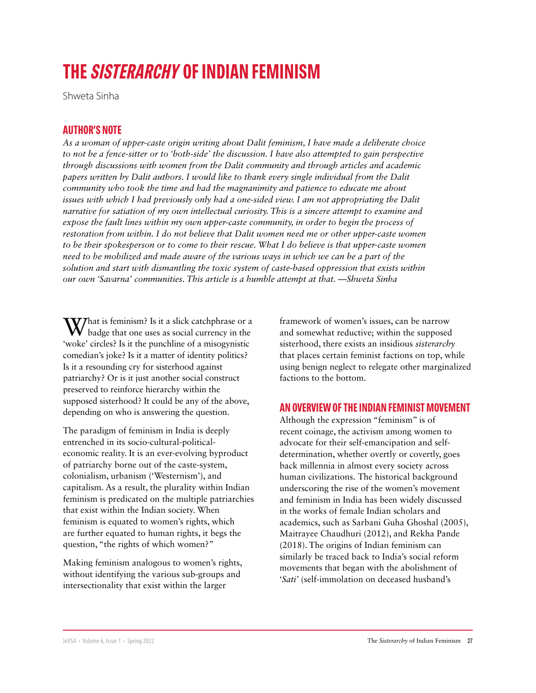# **THE SISTERARCHY OF INDIAN FEMINISM**

Shweta Sinha

# **AUTHOR'S NOTE**

*As a woman of upper-caste origin writing about Dalit feminism, I have made a deliberate choice to not be a fence-sitter or to 'both-side' the discussion. I have also attempted to gain perspective through discussions with women from the Dalit community and through articles and academic papers written by Dalit authors. I would like to thank every single individual from the Dalit community who took the time and had the magnanimity and patience to educate me about issues with which I had previously only had a one-sided view. I am not appropriating the Dalit narrative for satiation of my own intellectual curiosity. This is a sincere attempt to examine and expose the fault lines within my own upper-caste community, in order to begin the process of restoration from within. I do not believe that Dalit women need me or other upper-caste women to be their spokesperson or to come to their rescue. What I do believe is that upper-caste women need to be mobilized and made aware of the various ways in which we can be a part of the solution and start with dismantling the toxic system of caste-based oppression that exists within our own 'Savarna' communities. This article is a humble attempt at that. —Shweta Sinha*

 $\mathbf{W}$ hat is feminism? Is it a slick catchphrase or a  $\overline{\mathsf{V}}$  badge that one uses as social currency in the 'woke' circles? Is it the punchline of a misogynistic comedian's joke? Is it a matter of identity politics? Is it a resounding cry for sisterhood against patriarchy? Or is it just another social construct preserved to reinforce hierarchy within the supposed sisterhood? It could be any of the above, depending on who is answering the question.

The paradigm of feminism in India is deeply entrenched in its socio-cultural-politicaleconomic reality. It is an ever-evolving byproduct of patriarchy borne out of the caste-system, colonialism, urbanism ('Westernism'), and capitalism. As a result, the plurality within Indian feminism is predicated on the multiple patriarchies that exist within the Indian society. When feminism is equated to women's rights, which are further equated to human rights, it begs the question, "the rights of which women?"

Making feminism analogous to women's rights, without identifying the various sub-groups and intersectionality that exist within the larger

framework of women's issues, can be narrow and somewhat reductive; within the supposed sisterhood, there exists an insidious *sisterarchy* that places certain feminist factions on top, while using benign neglect to relegate other marginalized factions to the bottom.

## **AN OVERVIEW OF THE INDIAN FEMINIST MOVEMENT**

Although the expression "feminism" is of recent coinage, the activism among women to advocate for their self-emancipation and selfdetermination, whether overtly or covertly, goes back millennia in almost every society across human civilizations. The historical background underscoring the rise of the women's movement and feminism in India has been widely discussed in the works of female Indian scholars and academics, such as Sarbani Guha Ghoshal (2005), Maitrayee Chaudhuri (2012), and Rekha Pande (2018). The origins of Indian feminism can similarly be traced back to India's social reform movements that began with the abolishment of '*Sati'* (self-immolation on deceased husband's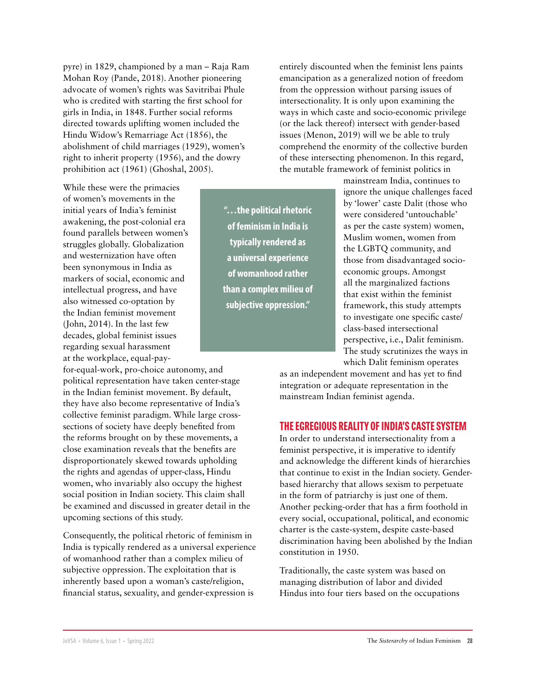pyre) in 1829, championed by a man – Raja Ram Mohan Roy (Pande, 2018). Another pioneering advocate of women's rights was Savitribai Phule who is credited with starting the first school for girls in India, in 1848. Further social reforms directed towards uplifting women included the Hindu Widow's Remarriage Act (1856), the abolishment of child marriages (1929), women's right to inherit property (1956), and the dowry prohibition act (1961) (Ghoshal, 2005).

While these were the primacies of women's movements in the initial years of India's feminist awakening, the post-colonial era found parallels between women's struggles globally. Globalization and westernization have often been synonymous in India as markers of social, economic and intellectual progress, and have also witnessed co-optation by the Indian feminist movement (John, 2014). In the last few decades, global feminist issues regarding sexual harassment at the workplace, equal-pay-

for-equal-work, pro-choice autonomy, and political representation have taken center-stage in the Indian feminist movement. By default, they have also become representative of India's collective feminist paradigm. While large crosssections of society have deeply benefited from the reforms brought on by these movements, a close examination reveals that the benefits are disproportionately skewed towards upholding the rights and agendas of upper-class, Hindu women, who invariably also occupy the highest social position in Indian society. This claim shall be examined and discussed in greater detail in the upcoming sections of this study.

Consequently, the political rhetoric of feminism in India is typically rendered as a universal experience of womanhood rather than a complex milieu of subjective oppression. The exploitation that is inherently based upon a woman's caste/religion, financial status, sexuality, and gender-expression is

comprehend the enormity of the collective burden of these intersecting phenomenon. In this regard, the mutable framework of feminist politics in mainstream India, continues to ignore the unique challenges faced by 'lower' caste Dalit (those who **"…the political rhetoric of feminism in India is typically rendered as a universal experience** 

**of womanhood rather than a complex milieu of subjective oppression."**

were considered 'untouchable' as per the caste system) women, Muslim women, women from the LGBTQ community, and those from disadvantaged socioeconomic groups. Amongst all the marginalized factions that exist within the feminist framework, this study attempts to investigate one specific caste/ class-based intersectional perspective, i.e., Dalit feminism. The study scrutinizes the ways in

which Dalit feminism operates as an independent movement and has yet to find integration or adequate representation in the mainstream Indian feminist agenda.

entirely discounted when the feminist lens paints emancipation as a generalized notion of freedom from the oppression without parsing issues of intersectionality. It is only upon examining the ways in which caste and socio-economic privilege (or the lack thereof) intersect with gender-based issues (Menon, 2019) will we be able to truly

#### **THE EGREGIOUS REALITY OF INDIA'S CASTE SYSTEM**

In order to understand intersectionality from a feminist perspective, it is imperative to identify and acknowledge the different kinds of hierarchies that continue to exist in the Indian society. Genderbased hierarchy that allows sexism to perpetuate in the form of patriarchy is just one of them. Another pecking-order that has a firm foothold in every social, occupational, political, and economic charter is the caste-system, despite caste-based discrimination having been abolished by the Indian constitution in 1950.

Traditionally, the caste system was based on managing distribution of labor and divided Hindus into four tiers based on the occupations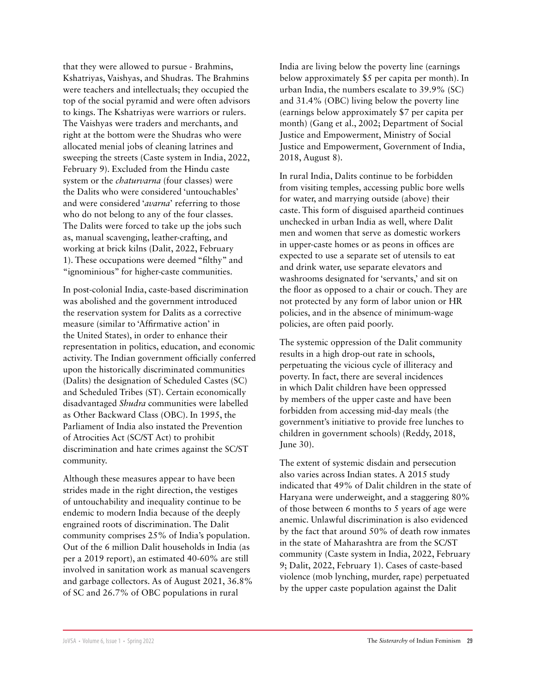that they were allowed to pursue - Brahmins, Kshatriyas, Vaishyas, and Shudras. The Brahmins were teachers and intellectuals; they occupied the top of the social pyramid and were often advisors to kings. The Kshatriyas were warriors or rulers. The Vaishyas were traders and merchants, and right at the bottom were the Shudras who were allocated menial jobs of cleaning latrines and sweeping the streets (Caste system in India, 2022, February 9). Excluded from the Hindu caste system or the *chaturvarna* (four classes) were the Dalits who were considered 'untouchables' and were considered '*avarna*' referring to those who do not belong to any of the four classes. The Dalits were forced to take up the jobs such as, manual scavenging, leather-crafting, and working at brick kilns (Dalit, 2022, February 1). These occupations were deemed "filthy" and "ignominious" for higher-caste communities.

In post-colonial India, caste-based discrimination was abolished and the government introduced the reservation system for Dalits as a corrective measure (similar to 'Affirmative action' in the United States), in order to enhance their representation in politics, education, and economic activity. The Indian government officially conferred upon the historically discriminated communities (Dalits) the designation of Scheduled Castes (SC) and Scheduled Tribes (ST). Certain economically disadvantaged *Shudra* communities were labelled as Other Backward Class (OBC). In 1995, the Parliament of India also instated the Prevention of Atrocities Act (SC/ST Act) to prohibit discrimination and hate crimes against the SC/ST community.

Although these measures appear to have been strides made in the right direction, the vestiges of untouchability and inequality continue to be endemic to modern India because of the deeply engrained roots of discrimination. The Dalit community comprises 25% of India's population. Out of the 6 million Dalit households in India (as per a 2019 report), an estimated 40-60% are still involved in sanitation work as manual scavengers and garbage collectors. As of August 2021, 36.8% of SC and 26.7% of OBC populations in rural

India are living below the poverty line (earnings below approximately \$5 per capita per month). In urban India, the numbers escalate to 39.9% (SC) and 31.4% (OBC) living below the poverty line (earnings below approximately \$7 per capita per month) (Gang et al., 2002; Department of Social Justice and Empowerment, Ministry of Social Justice and Empowerment, Government of India, 2018, August 8).

In rural India, Dalits continue to be forbidden from visiting temples, accessing public bore wells for water, and marrying outside (above) their caste. This form of disguised apartheid continues unchecked in urban India as well, where Dalit men and women that serve as domestic workers in upper-caste homes or as peons in offices are expected to use a separate set of utensils to eat and drink water, use separate elevators and washrooms designated for 'servants,' and sit on the floor as opposed to a chair or couch. They are not protected by any form of labor union or HR policies, and in the absence of minimum-wage policies, are often paid poorly.

The systemic oppression of the Dalit community results in a high drop-out rate in schools, perpetuating the vicious cycle of illiteracy and poverty. In fact, there are several incidences in which Dalit children have been oppressed by members of the upper caste and have been forbidden from accessing mid-day meals (the government's initiative to provide free lunches to children in government schools) (Reddy, 2018, June 30).

The extent of systemic disdain and persecution also varies across Indian states. A 2015 study indicated that 49% of Dalit children in the state of Haryana were underweight, and a staggering 80% of those between 6 months to 5 years of age were anemic. Unlawful discrimination is also evidenced by the fact that around 50% of death row inmates in the state of Maharashtra are from the SC/ST community (Caste system in India, 2022, February 9; Dalit, 2022, February 1). Cases of caste-based violence (mob lynching, murder, rape) perpetuated by the upper caste population against the Dalit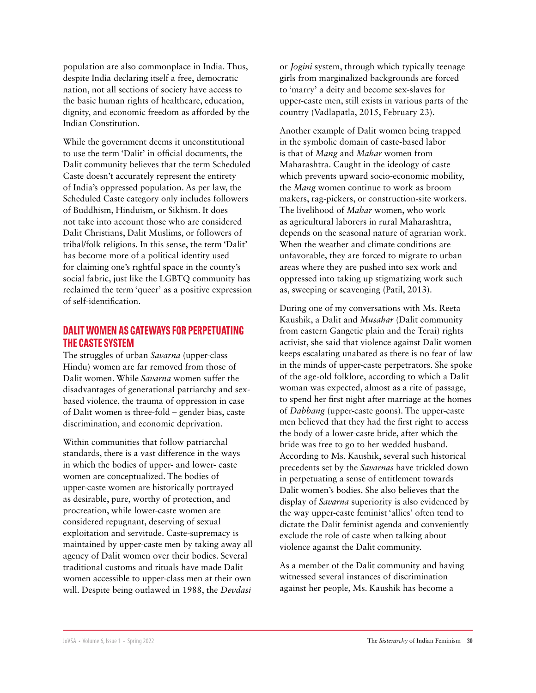population are also commonplace in India. Thus, despite India declaring itself a free, democratic nation, not all sections of society have access to the basic human rights of healthcare, education, dignity, and economic freedom as afforded by the Indian Constitution.

While the government deems it unconstitutional to use the term 'Dalit' in official documents, the Dalit community believes that the term Scheduled Caste doesn't accurately represent the entirety of India's oppressed population. As per law, the Scheduled Caste category only includes followers of Buddhism, Hinduism, or Sikhism. It does not take into account those who are considered Dalit Christians, Dalit Muslims, or followers of tribal/folk religions. In this sense, the term 'Dalit' has become more of a political identity used for claiming one's rightful space in the county's social fabric, just like the LGBTQ community has reclaimed the term 'queer' as a positive expression of self-identification.

# **DALIT WOMEN AS GATEWAYS FOR PERPETUATING THE CASTE SYSTEM**

The struggles of urban *Savarna* (upper-class Hindu) women are far removed from those of Dalit women. While *Savarna* women suffer the disadvantages of generational patriarchy and sexbased violence, the trauma of oppression in case of Dalit women is three-fold – gender bias, caste discrimination, and economic deprivation.

Within communities that follow patriarchal standards, there is a vast difference in the ways in which the bodies of upper- and lower- caste women are conceptualized. The bodies of upper-caste women are historically portrayed as desirable, pure, worthy of protection, and procreation, while lower-caste women are considered repugnant, deserving of sexual exploitation and servitude. Caste-supremacy is maintained by upper-caste men by taking away all agency of Dalit women over their bodies. Several traditional customs and rituals have made Dalit women accessible to upper-class men at their own will. Despite being outlawed in 1988, the *Devdasi*

or *Jogini* system, through which typically teenage girls from marginalized backgrounds are forced to 'marry' a deity and become sex-slaves for upper-caste men, still exists in various parts of the country (Vadlapatla, 2015, February 23).

Another example of Dalit women being trapped in the symbolic domain of caste-based labor is that of *Mang* and *Mahar* women from Maharashtra. Caught in the ideology of caste which prevents upward socio-economic mobility, the *Mang* women continue to work as broom makers, rag-pickers, or construction-site workers. The livelihood of *Mahar* women, who work as agricultural laborers in rural Maharashtra, depends on the seasonal nature of agrarian work. When the weather and climate conditions are unfavorable, they are forced to migrate to urban areas where they are pushed into sex work and oppressed into taking up stigmatizing work such as, sweeping or scavenging (Patil, 2013).

During one of my conversations with Ms. Reeta Kaushik, a Dalit and *Musahar* (Dalit community from eastern Gangetic plain and the Terai) rights activist, she said that violence against Dalit women keeps escalating unabated as there is no fear of law in the minds of upper-caste perpetrators. She spoke of the age-old folklore, according to which a Dalit woman was expected, almost as a rite of passage, to spend her first night after marriage at the homes of *Dabbang* (upper-caste goons). The upper-caste men believed that they had the first right to access the body of a lower-caste bride, after which the bride was free to go to her wedded husband. According to Ms. Kaushik, several such historical precedents set by the *Savarnas* have trickled down in perpetuating a sense of entitlement towards Dalit women's bodies. She also believes that the display of *Savarna* superiority is also evidenced by the way upper-caste feminist 'allies' often tend to dictate the Dalit feminist agenda and conveniently exclude the role of caste when talking about violence against the Dalit community.

As a member of the Dalit community and having witnessed several instances of discrimination against her people, Ms. Kaushik has become a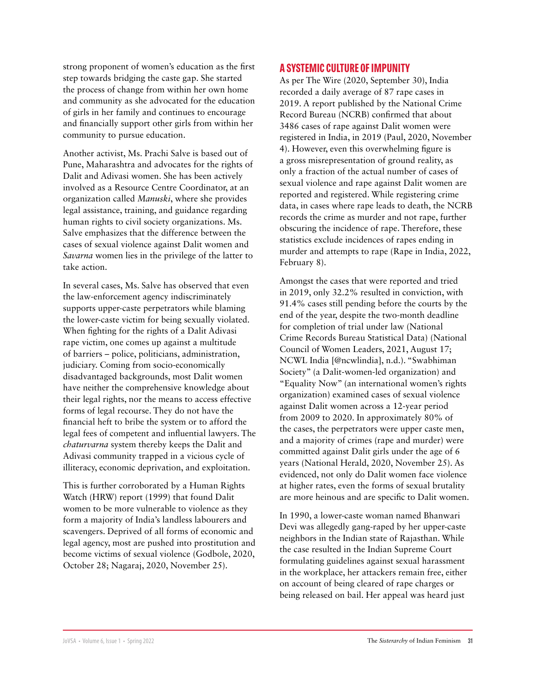strong proponent of women's education as the first step towards bridging the caste gap. She started the process of change from within her own home and community as she advocated for the education of girls in her family and continues to encourage and financially support other girls from within her community to pursue education.

Another activist, Ms. Prachi Salve is based out of Pune, Maharashtra and advocates for the rights of Dalit and Adivasi women. She has been actively involved as a Resource Centre Coordinator, at an organization called *Manuski*, where she provides legal assistance, training, and guidance regarding human rights to civil society organizations. Ms. Salve emphasizes that the difference between the cases of sexual violence against Dalit women and *Savarna* women lies in the privilege of the latter to take action.

In several cases, Ms. Salve has observed that even the law-enforcement agency indiscriminately supports upper-caste perpetrators while blaming the lower-caste victim for being sexually violated. When fighting for the rights of a Dalit Adivasi rape victim, one comes up against a multitude of barriers – police, politicians, administration, judiciary. Coming from socio-economically disadvantaged backgrounds, most Dalit women have neither the comprehensive knowledge about their legal rights, nor the means to access effective forms of legal recourse. They do not have the financial heft to bribe the system or to afford the legal fees of competent and influential lawyers. The *chaturvarna* system thereby keeps the Dalit and Adivasi community trapped in a vicious cycle of illiteracy, economic deprivation, and exploitation.

This is further corroborated by a Human Rights Watch (HRW) report (1999) that found Dalit women to be more vulnerable to violence as they form a majority of India's landless labourers and scavengers. Deprived of all forms of economic and legal agency, most are pushed into prostitution and become victims of sexual violence (Godbole, 2020, October 28; Nagaraj, 2020, November 25).

# **A SYSTEMIC CULTURE OF IMPUNITY**

As per The Wire (2020, September 30), India recorded a daily average of 87 rape cases in 2019. A report published by the National Crime Record Bureau (NCRB) confirmed that about 3486 cases of rape against Dalit women were registered in India, in 2019 (Paul, 2020, November 4). However, even this overwhelming figure is a gross misrepresentation of ground reality, as only a fraction of the actual number of cases of sexual violence and rape against Dalit women are reported and registered. While registering crime data, in cases where rape leads to death, the NCRB records the crime as murder and not rape, further obscuring the incidence of rape. Therefore, these statistics exclude incidences of rapes ending in murder and attempts to rape (Rape in India, 2022, February 8).

Amongst the cases that were reported and tried in 2019, only 32.2% resulted in conviction, with 91.4% cases still pending before the courts by the end of the year, despite the two-month deadline for completion of trial under law (National Crime Records Bureau Statistical Data) (National Council of Women Leaders, 2021, August 17; NCWL India [@ncwlindia], n.d.). "Swabhiman Society" (a Dalit-women-led organization) and "Equality Now" (an international women's rights organization) examined cases of sexual violence against Dalit women across a 12-year period from 2009 to 2020. In approximately 80% of the cases, the perpetrators were upper caste men, and a majority of crimes (rape and murder) were committed against Dalit girls under the age of 6 years (National Herald, 2020, November 25). As evidenced, not only do Dalit women face violence at higher rates, even the forms of sexual brutality are more heinous and are specific to Dalit women.

In 1990, a lower-caste woman named Bhanwari Devi was allegedly gang-raped by her upper-caste neighbors in the Indian state of Rajasthan. While the case resulted in the Indian Supreme Court formulating guidelines against sexual harassment in the workplace, her attackers remain free, either on account of being cleared of rape charges or being released on bail. Her appeal was heard just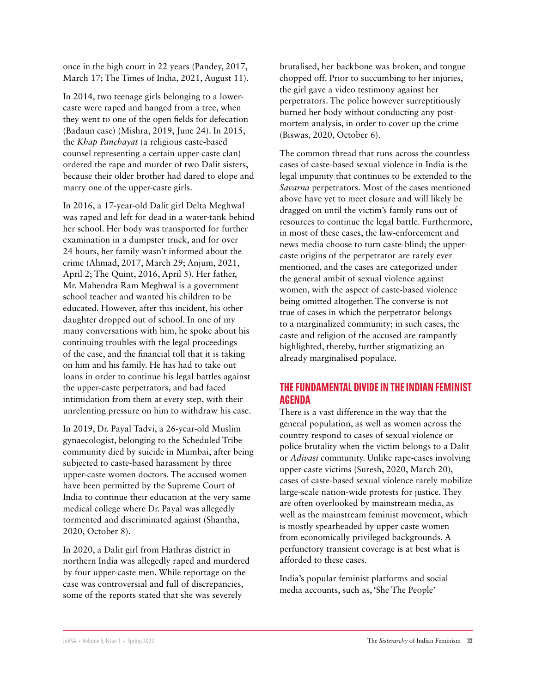once in the high court in 22 years (Pandey, 2017, March 17; The Times of India, 2021, August 11).

In 2014, two teenage girls belonging to a lowercaste were raped and hanged from a tree, when they went to one of the open fields for defecation (Badaun case) (Mishra, 2019, June 24). In 2015, the *Khap Panchayat* (a religious caste-based counsel representing a certain upper-caste clan) ordered the rape and murder of two Dalit sisters, because their older brother had dared to elope and marry one of the upper-caste girls.

In 2016, a 17-year-old Dalit girl Delta Meghwal was raped and left for dead in a water-tank behind her school. Her body was transported for further examination in a dumpster truck, and for over 24 hours, her family wasn't informed about the crime (Ahmad, 2017, March 29; Anjum, 2021, April 2; The Quint, 2016, April 5). Her father, Mr. Mahendra Ram Meghwal is a government school teacher and wanted his children to be educated. However, after this incident, his other daughter dropped out of school. In one of my many conversations with him, he spoke about his continuing troubles with the legal proceedings of the case, and the financial toll that it is taking on him and his family. He has had to take out loans in order to continue his legal battles against the upper-caste perpetrators, and had faced intimidation from them at every step, with their unrelenting pressure on him to withdraw his case.

In 2019, Dr. Payal Tadvi, a 26-year-old Muslim gynaecologist, belonging to the Scheduled Tribe community died by suicide in Mumbai, after being subjected to caste-based harassment by three upper-caste women doctors. The accused women have been permitted by the Supreme Court of India to continue their education at the very same medical college where Dr. Payal was allegedly tormented and discriminated against (Shantha, 2020, October 8).

In 2020, a Dalit girl from Hathras district in northern India was allegedly raped and murdered by four upper-caste men. While reportage on the case was controversial and full of discrepancies, some of the reports stated that she was severely

brutalised, her backbone was broken, and tongue chopped off. Prior to succumbing to her injuries, the girl gave a video testimony against her perpetrators. The police however surreptitiously burned her body without conducting any postmortem analysis, in order to cover up the crime (Biswas, 2020, October 6).

The common thread that runs across the countless cases of caste-based sexual violence in India is the legal impunity that continues to be extended to the *Savarna* perpetrators. Most of the cases mentioned above have yet to meet closure and will likely be dragged on until the victim's family runs out of resources to continue the legal battle. Furthermore, in most of these cases, the law-enforcement and news media choose to turn caste-blind; the uppercaste origins of the perpetrator are rarely ever mentioned, and the cases are categorized under the general ambit of sexual violence against women, with the aspect of caste-based violence being omitted altogether. The converse is not true of cases in which the perpetrator belongs to a marginalized community; in such cases, the caste and religion of the accused are rampantly highlighted, thereby, further stigmatizing an already marginalised populace.

# **THE FUNDAMENTAL DIVIDE IN THE INDIAN FEMINIST AGENDA**

There is a vast difference in the way that the general population, as well as women across the country respond to cases of sexual violence or police brutality when the victim belongs to a Dalit or *Adivasi* community. Unlike rape-cases involving upper-caste victims (Suresh, 2020, March 20), cases of caste-based sexual violence rarely mobilize large-scale nation-wide protests for justice. They are often overlooked by mainstream media, as well as the mainstream feminist movement, which is mostly spearheaded by upper caste women from economically privileged backgrounds. A perfunctory transient coverage is at best what is afforded to these cases.

India's popular feminist platforms and social media accounts, such as, 'She The People'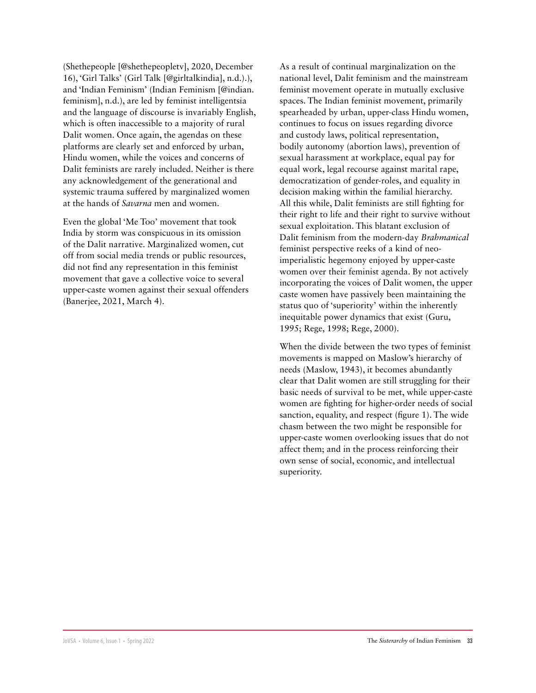(Shethepeople [@shethepeopletv], 2020, December 16), 'Girl Talks' (Girl Talk [@girltalkindia], n.d.).), and 'Indian Feminism' (Indian Feminism [@indian. feminism], n.d.), are led by feminist intelligentsia and the language of discourse is invariably English, which is often inaccessible to a majority of rural Dalit women. Once again, the agendas on these platforms are clearly set and enforced by urban, Hindu women, while the voices and concerns of Dalit feminists are rarely included. Neither is there any acknowledgement of the generational and systemic trauma suffered by marginalized women at the hands of *Savarna* men and women.

Even the global 'Me Too' movement that took India by storm was conspicuous in its omission of the Dalit narrative. Marginalized women, cut off from social media trends or public resources, did not find any representation in this feminist movement that gave a collective voice to several upper-caste women against their sexual offenders (Banerjee, 2021, March 4).

As a result of continual marginalization on the national level, Dalit feminism and the mainstream feminist movement operate in mutually exclusive spaces. The Indian feminist movement, primarily spearheaded by urban, upper-class Hindu women, continues to focus on issues regarding divorce and custody laws, political representation, bodily autonomy (abortion laws), prevention of sexual harassment at workplace, equal pay for equal work, legal recourse against marital rape, democratization of gender-roles, and equality in decision making within the familial hierarchy. All this while, Dalit feminists are still fighting for their right to life and their right to survive without sexual exploitation. This blatant exclusion of Dalit feminism from the modern-day *Brahmanical* feminist perspective reeks of a kind of neoimperialistic hegemony enjoyed by upper-caste women over their feminist agenda. By not actively incorporating the voices of Dalit women, the upper caste women have passively been maintaining the status quo of 'superiority' within the inherently inequitable power dynamics that exist (Guru, 1995; Rege, 1998; Rege, 2000).

When the divide between the two types of feminist movements is mapped on Maslow's hierarchy of needs (Maslow, 1943), it becomes abundantly clear that Dalit women are still struggling for their basic needs of survival to be met, while upper-caste women are fighting for higher-order needs of social sanction, equality, and respect (figure 1). The wide chasm between the two might be responsible for upper-caste women overlooking issues that do not affect them; and in the process reinforcing their own sense of social, economic, and intellectual superiority.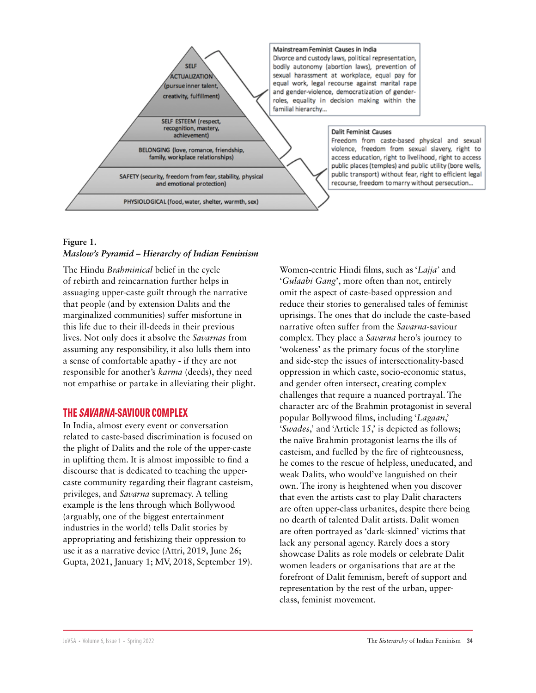

# **Figure 1.**  *Maslow's Pyramid – Hierarchy of Indian Feminism*

The Hindu *Brahminical* belief in the cycle of rebirth and reincarnation further helps in assuaging upper-caste guilt through the narrative that people (and by extension Dalits and the marginalized communities) suffer misfortune in this life due to their ill-deeds in their previous lives. Not only does it absolve the *Savarnas* from assuming any responsibility, it also lulls them into a sense of comfortable apathy - if they are not responsible for another's *karma* (deeds), they need not empathise or partake in alleviating their plight.

#### **THE SAVARNA-SAVIOUR COMPLEX**

In India, almost every event or conversation related to caste-based discrimination is focused on the plight of Dalits and the role of the upper-caste in uplifting them. It is almost impossible to find a discourse that is dedicated to teaching the uppercaste community regarding their flagrant casteism, privileges, and *Savarna* supremacy. A telling example is the lens through which Bollywood (arguably, one of the biggest entertainment industries in the world) tells Dalit stories by appropriating and fetishizing their oppression to use it as a narrative device (Attri, 2019, June 26; Gupta, 2021, January 1; MV, 2018, September 19).

Women-centric Hindi films, such as '*Lajja'* and '*Gulaabi Gang*', more often than not, entirely omit the aspect of caste-based oppression and reduce their stories to generalised tales of feminist uprisings. The ones that do include the caste-based narrative often suffer from the *Savarna*-saviour complex. They place a *Savarna* hero's journey to 'wokeness' as the primary focus of the storyline and side-step the issues of intersectionality-based oppression in which caste, socio-economic status, and gender often intersect, creating complex challenges that require a nuanced portrayal. The character arc of the Brahmin protagonist in several popular Bollywood films, including '*Lagaan*,' '*Swades*,' and 'Article 15,' is depicted as follows; the naïve Brahmin protagonist learns the ills of casteism, and fuelled by the fire of righteousness, he comes to the rescue of helpless, uneducated, and weak Dalits, who would've languished on their own. The irony is heightened when you discover that even the artists cast to play Dalit characters are often upper-class urbanites, despite there being no dearth of talented Dalit artists. Dalit women are often portrayed as 'dark-skinned' victims that lack any personal agency. Rarely does a story showcase Dalits as role models or celebrate Dalit women leaders or organisations that are at the forefront of Dalit feminism, bereft of support and representation by the rest of the urban, upperclass, feminist movement.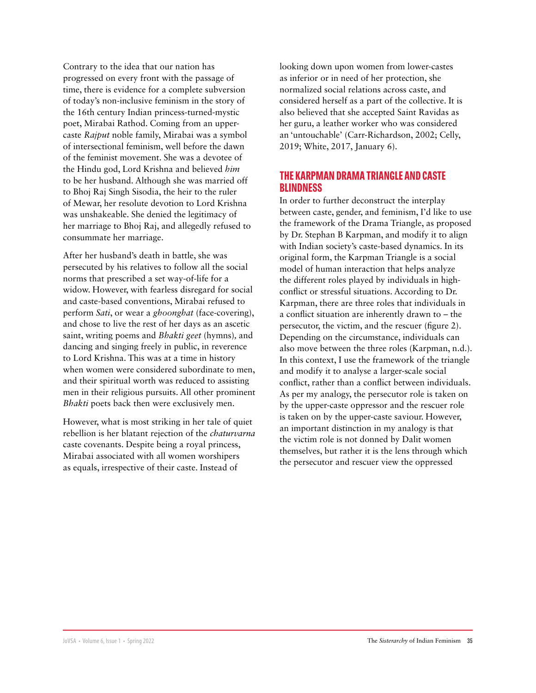Contrary to the idea that our nation has progressed on every front with the passage of time, there is evidence for a complete subversion of today's non-inclusive feminism in the story of the 16th century Indian princess-turned-mystic poet, Mirabai Rathod. Coming from an uppercaste *Rajput* noble family, Mirabai was a symbol of intersectional feminism, well before the dawn of the feminist movement. She was a devotee of the Hindu god, Lord Krishna and believed *him*  to be her husband. Although she was married off to Bhoj Raj Singh Sisodia, the heir to the ruler of Mewar, her resolute devotion to Lord Krishna was unshakeable. She denied the legitimacy of her marriage to Bhoj Raj, and allegedly refused to consummate her marriage.

After her husband's death in battle, she was persecuted by his relatives to follow all the social norms that prescribed a set way-of-life for a widow. However, with fearless disregard for social and caste-based conventions, Mirabai refused to perform *Sati*, or wear a *ghoonghat* (face-covering), and chose to live the rest of her days as an ascetic saint, writing poems and *Bhakti geet* (hymns)*,* and dancing and singing freely in public, in reverence to Lord Krishna. This was at a time in history when women were considered subordinate to men, and their spiritual worth was reduced to assisting men in their religious pursuits. All other prominent *Bhakti* poets back then were exclusively men.

However, what is most striking in her tale of quiet rebellion is her blatant rejection of the *chaturvarna* caste covenants. Despite being a royal princess, Mirabai associated with all women worshipers as equals, irrespective of their caste. Instead of

looking down upon women from lower-castes as inferior or in need of her protection, she normalized social relations across caste, and considered herself as a part of the collective. It is also believed that she accepted Saint Ravidas as her guru, a leather worker who was considered an 'untouchable' (Carr-Richardson, 2002; Celly, 2019; White, 2017, January 6).

## **THE KARPMAN DRAMA TRIANGLE AND CASTE BLINDNESS**

In order to further deconstruct the interplay between caste, gender, and feminism, I'd like to use the framework of the Drama Triangle, as proposed by Dr. Stephan B Karpman, and modify it to align with Indian society's caste-based dynamics. In its original form, the Karpman Triangle is a social model of human interaction that helps analyze the different roles played by individuals in highconflict or stressful situations. According to Dr. Karpman, there are three roles that individuals in a conflict situation are inherently drawn to – the persecutor, the victim, and the rescuer (figure 2). Depending on the circumstance, individuals can also move between the three roles (Karpman, n.d.). In this context, I use the framework of the triangle and modify it to analyse a larger-scale social conflict, rather than a conflict between individuals. As per my analogy, the persecutor role is taken on by the upper-caste oppressor and the rescuer role is taken on by the upper-caste saviour. However, an important distinction in my analogy is that the victim role is not donned by Dalit women themselves, but rather it is the lens through which the persecutor and rescuer view the oppressed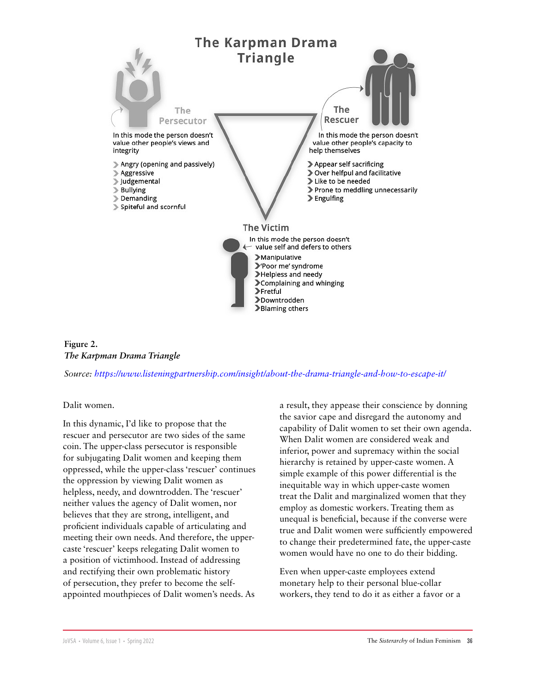

**Figure 2.**  *The Karpman Drama Triangle*

*Source: <https://www.listeningpartnership.com/insight/about-the-drama-triangle-and-how-to-escape-it/>*

Dalit women.

In this dynamic, I'd like to propose that the rescuer and persecutor are two sides of the same coin. The upper-class persecutor is responsible for subjugating Dalit women and keeping them oppressed, while the upper-class 'rescuer' continues the oppression by viewing Dalit women as helpless, needy, and downtrodden. The 'rescuer' neither values the agency of Dalit women, nor believes that they are strong, intelligent, and proficient individuals capable of articulating and meeting their own needs. And therefore, the uppercaste 'rescuer' keeps relegating Dalit women to a position of victimhood. Instead of addressing and rectifying their own problematic history of persecution, they prefer to become the selfappointed mouthpieces of Dalit women's needs. As

a result, they appease their conscience by donning the savior cape and disregard the autonomy and capability of Dalit women to set their own agenda. When Dalit women are considered weak and inferior, power and supremacy within the social hierarchy is retained by upper-caste women. A simple example of this power differential is the inequitable way in which upper-caste women treat the Dalit and marginalized women that they employ as domestic workers. Treating them as unequal is beneficial, because if the converse were true and Dalit women were sufficiently empowered to change their predetermined fate, the upper-caste women would have no one to do their bidding.

Even when upper-caste employees extend monetary help to their personal blue-collar workers, they tend to do it as either a favor or a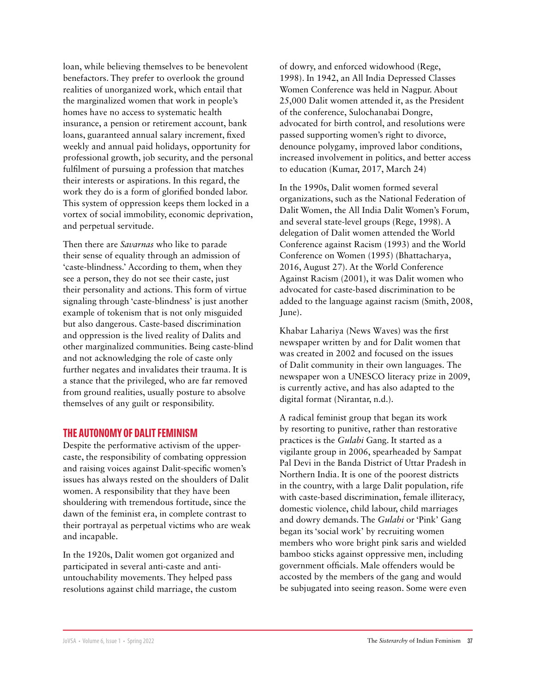loan, while believing themselves to be benevolent benefactors. They prefer to overlook the ground realities of unorganized work, which entail that the marginalized women that work in people's homes have no access to systematic health insurance, a pension or retirement account, bank loans, guaranteed annual salary increment, fixed weekly and annual paid holidays, opportunity for professional growth, job security, and the personal fulfilment of pursuing a profession that matches their interests or aspirations. In this regard, the work they do is a form of glorified bonded labor. This system of oppression keeps them locked in a vortex of social immobility, economic deprivation, and perpetual servitude.

Then there are *Savarnas* who like to parade their sense of equality through an admission of 'caste-blindness.' According to them, when they see a person, they do not see their caste, just their personality and actions. This form of virtue signaling through 'caste-blindness' is just another example of tokenism that is not only misguided but also dangerous. Caste-based discrimination and oppression is the lived reality of Dalits and other marginalized communities. Being caste-blind and not acknowledging the role of caste only further negates and invalidates their trauma. It is a stance that the privileged, who are far removed from ground realities, usually posture to absolve themselves of any guilt or responsibility.

#### **THE AUTONOMY OF DALIT FEMINISM**

Despite the performative activism of the uppercaste, the responsibility of combating oppression and raising voices against Dalit-specific women's issues has always rested on the shoulders of Dalit women. A responsibility that they have been shouldering with tremendous fortitude, since the dawn of the feminist era, in complete contrast to their portrayal as perpetual victims who are weak and incapable.

In the 1920s, Dalit women got organized and participated in several anti-caste and antiuntouchability movements. They helped pass resolutions against child marriage, the custom

of dowry, and enforced widowhood (Rege, 1998). In 1942, an All India Depressed Classes Women Conference was held in Nagpur. About 25,000 Dalit women attended it, as the President of the conference, Sulochanabai Dongre, advocated for birth control, and resolutions were passed supporting women's right to divorce, denounce polygamy, improved labor conditions, increased involvement in politics, and better access to education (Kumar, 2017, March 24)

In the 1990s, Dalit women formed several organizations, such as the National Federation of Dalit Women, the All India Dalit Women's Forum, and several state-level groups (Rege, 1998). A delegation of Dalit women attended the World Conference against Racism (1993) and the World Conference on Women (1995) (Bhattacharya, 2016, August 27). At the World Conference Against Racism (2001), it was Dalit women who advocated for caste-based discrimination to be added to the language against racism (Smith, 2008, June).

Khabar Lahariya (News Waves) was the first newspaper written by and for Dalit women that was created in 2002 and focused on the issues of Dalit community in their own languages. The newspaper won a UNESCO literacy prize in 2009, is currently active, and has also adapted to the digital format (Nirantar, n.d.).

A radical feminist group that began its work by resorting to punitive, rather than restorative practices is the *Gulabi* Gang. It started as a vigilante group in 2006, spearheaded by Sampat Pal Devi in the Banda District of Uttar Pradesh in Northern India. It is one of the poorest districts in the country, with a large Dalit population, rife with caste-based discrimination, female illiteracy, domestic violence, child labour, child marriages and dowry demands. The *Gulabi* or 'Pink' Gang began its 'social work' by recruiting women members who wore bright pink saris and wielded bamboo sticks against oppressive men, including government officials. Male offenders would be accosted by the members of the gang and would be subjugated into seeing reason. Some were even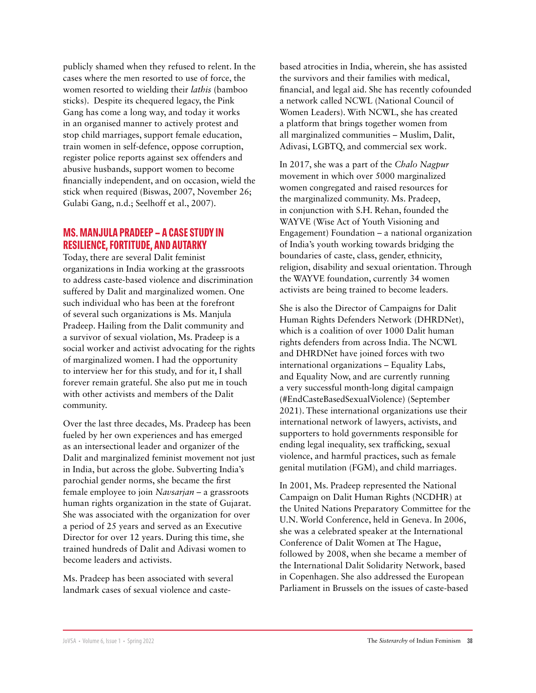publicly shamed when they refused to relent. In the cases where the men resorted to use of force, the women resorted to wielding their *lathis* (bamboo sticks). Despite its chequered legacy, the Pink Gang has come a long way, and today it works in an organised manner to actively protest and stop child marriages, support female education, train women in self-defence, oppose corruption, register police reports against sex offenders and abusive husbands, support women to become financially independent, and on occasion, wield the stick when required (Biswas, 2007, November 26; Gulabi Gang, n.d.; Seelhoff et al., 2007).

# **MS. MANJULA PRADEEP – A CASE STUDY IN RESILIENCE, FORTITUDE, AND AUTARKY**

Today, there are several Dalit feminist organizations in India working at the grassroots to address caste-based violence and discrimination suffered by Dalit and marginalized women. One such individual who has been at the forefront of several such organizations is Ms. Manjula Pradeep. Hailing from the Dalit community and a survivor of sexual violation, Ms. Pradeep is a social worker and activist advocating for the rights of marginalized women. I had the opportunity to interview her for this study, and for it, I shall forever remain grateful. She also put me in touch with other activists and members of the Dalit community.

Over the last three decades, Ms. Pradeep has been fueled by her own experiences and has emerged as an intersectional leader and organizer of the Dalit and marginalized feminist movement not just in India, but across the globe. Subverting India's parochial gender norms, she became the first female employee to join *Navsarjan* – a grassroots human rights organization in the state of Gujarat. She was associated with the organization for over a period of 25 years and served as an Executive Director for over 12 years. During this time, she trained hundreds of Dalit and Adivasi women to become leaders and activists.

Ms. Pradeep has been associated with several landmark cases of sexual violence and caste-

based atrocities in India, wherein, she has assisted the survivors and their families with medical, financial, and legal aid. She has recently cofounded a network called NCWL (National Council of Women Leaders). With NCWL, she has created a platform that brings together women from all marginalized communities – Muslim, Dalit, Adivasi, LGBTQ, and commercial sex work.

In 2017, she was a part of the *Chalo Nagpur* movement in which over 5000 marginalized women congregated and raised resources for the marginalized community. Ms. Pradeep, in conjunction with S.H. Rehan, founded the WAYVE (Wise Act of Youth Visioning and Engagement) Foundation – a national organization of India's youth working towards bridging the boundaries of caste, class, gender, ethnicity, religion, disability and sexual orientation. Through the WAYVE foundation, currently 34 women activists are being trained to become leaders.

She is also the Director of Campaigns for Dalit Human Rights Defenders Network (DHRDNet), which is a coalition of over 1000 Dalit human rights defenders from across India. The NCWL and DHRDNet have joined forces with two international organizations – Equality Labs, and Equality Now, and are currently running a very successful month-long digital campaign (#EndCasteBasedSexualViolence) (September 2021). These international organizations use their international network of lawyers, activists, and supporters to hold governments responsible for ending legal inequality, sex trafficking, sexual violence, and harmful practices, such as female genital mutilation (FGM), and child marriages.

In 2001, Ms. Pradeep represented the National Campaign on Dalit Human Rights (NCDHR) at the United Nations Preparatory Committee for the U.N. World Conference, held in Geneva. In 2006, she was a celebrated speaker at the International Conference of Dalit Women at The Hague, followed by 2008, when she became a member of the International Dalit Solidarity Network, based in Copenhagen. She also addressed the European Parliament in Brussels on the issues of caste-based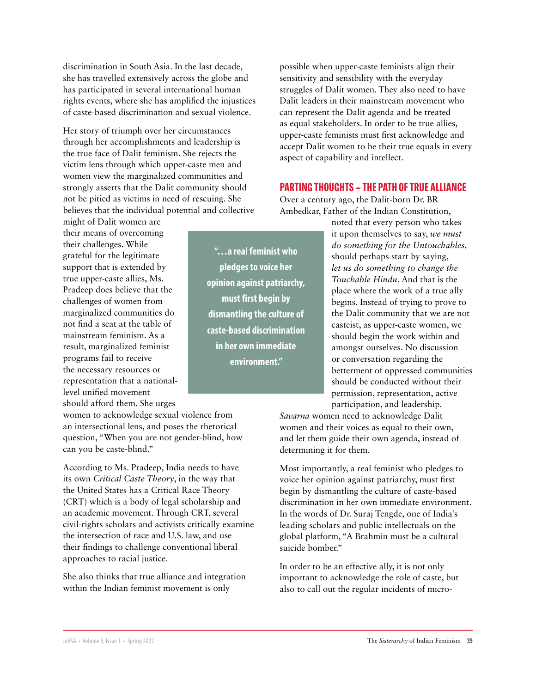discrimination in South Asia. In the last decade, she has travelled extensively across the globe and has participated in several international human rights events, where she has amplified the injustices of caste-based discrimination and sexual violence.

Her story of triumph over her circumstances through her accomplishments and leadership is the true face of Dalit feminism. She rejects the victim lens through which upper-caste men and women view the marginalized communities and strongly asserts that the Dalit community should not be pitied as victims in need of rescuing. She believes that the individual potential and collective

might of Dalit women are their means of overcoming their challenges. While grateful for the legitimate support that is extended by true upper-caste allies, Ms. Pradeep does believe that the challenges of women from marginalized communities do not find a seat at the table of mainstream feminism. As a result, marginalized feminist programs fail to receive the necessary resources or representation that a nationallevel unified movement should afford them. She urges

women to acknowledge sexual violence from an intersectional lens, and poses the rhetorical question, "When you are not gender-blind, how can you be caste-blind."

According to Ms. Pradeep, India needs to have its own *Critical Caste Theory*, in the way that the United States has a Critical Race Theory (CRT) which is a body of legal scholarship and an academic movement. Through CRT, several civil-rights scholars and activists critically examine the intersection of race and U.S. law, and use their findings to challenge conventional liberal approaches to racial justice.

She also thinks that true alliance and integration within the Indian feminist movement is only

possible when upper-caste feminists align their sensitivity and sensibility with the everyday struggles of Dalit women. They also need to have Dalit leaders in their mainstream movement who can represent the Dalit agenda and be treated as equal stakeholders. In order to be true allies, upper-caste feminists must first acknowledge and accept Dalit women to be their true equals in every aspect of capability and intellect.

#### **PARTING THOUGHTS – THE PATH OF TRUE ALLIANCE**

Over a century ago, the Dalit-born Dr. BR Ambedkar, Father of the Indian Constitution,

> noted that every person who takes it upon themselves to say, *we must do something for the Untouchables,* should perhaps start by saying, *let us do something to change the Touchable Hindu*. And that is the place where the work of a true ally begins. Instead of trying to prove to the Dalit community that we are not casteist, as upper-caste women, we should begin the work within and amongst ourselves. No discussion or conversation regarding the betterment of oppressed communities should be conducted without their permission, representation, active participation, and leadership.

*Savarna* women need to acknowledge Dalit women and their voices as equal to their own, and let them guide their own agenda, instead of determining it for them.

Most importantly, a real feminist who pledges to voice her opinion against patriarchy, must first begin by dismantling the culture of caste-based discrimination in her own immediate environment. In the words of Dr. Suraj Tengde, one of India's leading scholars and public intellectuals on the global platform, "A Brahmin must be a cultural suicide bomber."

In order to be an effective ally, it is not only important to acknowledge the role of caste, but also to call out the regular incidents of micro-

**pledges to voice her opinion against patriarchy, must first begin by dismantling the culture of caste-based discrimination in her own immediate environment."**

**"…a real feminist who**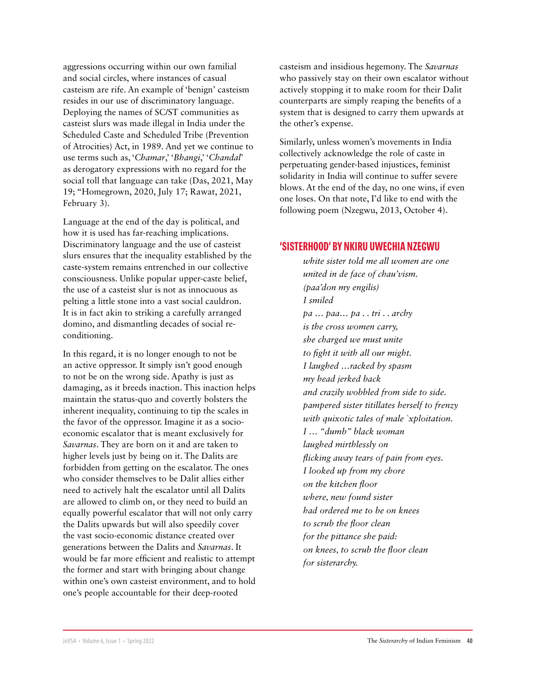aggressions occurring within our own familial and social circles, where instances of casual casteism are rife. An example of 'benign' casteism resides in our use of discriminatory language. Deploying the names of SC/ST communities as casteist slurs was made illegal in India under the Scheduled Caste and Scheduled Tribe (Prevention of Atrocities) Act, in 1989. And yet we continue to use terms such as, '*Chamar*,' '*Bhangi*,' '*Chandal*' as derogatory expressions with no regard for the social toll that language can take (Das, 2021, May 19; "Homegrown, 2020, July 17; Rawat, 2021, February 3).

Language at the end of the day is political, and how it is used has far-reaching implications. Discriminatory language and the use of casteist slurs ensures that the inequality established by the caste-system remains entrenched in our collective consciousness. Unlike popular upper-caste belief, the use of a casteist slur is not as innocuous as pelting a little stone into a vast social cauldron. It is in fact akin to striking a carefully arranged domino, and dismantling decades of social reconditioning.

In this regard, it is no longer enough to not be an active oppressor. It simply isn't good enough to not be on the wrong side. Apathy is just as damaging, as it breeds inaction. This inaction helps maintain the status-quo and covertly bolsters the inherent inequality, continuing to tip the scales in the favor of the oppressor. Imagine it as a socioeconomic escalator that is meant exclusively for *Savarnas*. They are born on it and are taken to higher levels just by being on it. The Dalits are forbidden from getting on the escalator. The ones who consider themselves to be Dalit allies either need to actively halt the escalator until all Dalits are allowed to climb on, or they need to build an equally powerful escalator that will not only carry the Dalits upwards but will also speedily cover the vast socio-economic distance created over generations between the Dalits and *Savarnas*. It would be far more efficient and realistic to attempt the former and start with bringing about change within one's own casteist environment, and to hold one's people accountable for their deep-rooted

casteism and insidious hegemony. The *Savarnas* who passively stay on their own escalator without actively stopping it to make room for their Dalit counterparts are simply reaping the benefits of a system that is designed to carry them upwards at the other's expense.

Similarly, unless women's movements in India collectively acknowledge the role of caste in perpetuating gender-based injustices, feminist solidarity in India will continue to suffer severe blows. At the end of the day, no one wins, if even one loses. On that note, I'd like to end with the following poem (Nzegwu, 2013, October 4).

#### **'SISTERHOOD' BY NKIRU UWECHIA NZEGWU**

*white sister told me all women are one united in de face of chau'vism. (paa'don my engilis) I smiled pa … paa… pa . . tri . . archy is the cross women carry, she charged we must unite to fight it with all our might. I laughed …racked by spasm my head jerked back and crazily wobbled from side to side. pampered sister titillates herself to frenzy with quixotic tales of male `xploitation. I … "dumb" black woman laughed mirthlessly on flicking away tears of pain from eyes. I looked up from my chore on the kitchen floor where, new found sister had ordered me to be on knees to scrub the floor clean for the pittance she paid: on knees, to scrub the floor clean for sisterarchy.*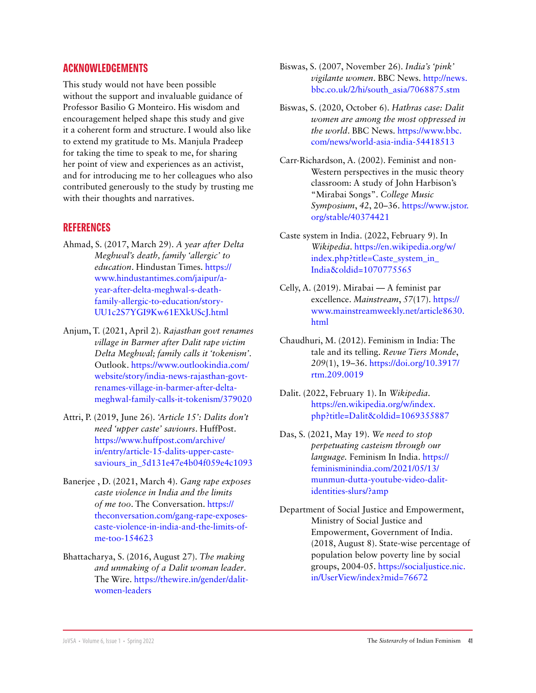# **ACKNOWLEDGEMENTS**

This study would not have been possible without the support and invaluable guidance of Professor Basilio G Monteiro. His wisdom and encouragement helped shape this study and give it a coherent form and structure. I would also like to extend my gratitude to Ms. Manjula Pradeep for taking the time to speak to me, for sharing her point of view and experiences as an activist, and for introducing me to her colleagues who also contributed generously to the study by trusting me with their thoughts and narratives.

#### **REFERENCES**

- Ahmad, S. (2017, March 29). *A year after Delta Meghwal's death, family 'allergic' to education*. Hindustan Times. [https://](https://www.hindustantimes.com/jaipur/a-year-after-delta-meghwal-s-death-family-allergic-to-education/story-UU1c2S7YGI9Kw61EXkUScJ.html) [www.hindustantimes.com/jaipur/a](https://www.hindustantimes.com/jaipur/a-year-after-delta-meghwal-s-death-family-allergic-to-education/story-UU1c2S7YGI9Kw61EXkUScJ.html)[year-after-delta-meghwal-s-death](https://www.hindustantimes.com/jaipur/a-year-after-delta-meghwal-s-death-family-allergic-to-education/story-UU1c2S7YGI9Kw61EXkUScJ.html)[family-allergic-to-education/story-](https://www.hindustantimes.com/jaipur/a-year-after-delta-meghwal-s-death-family-allergic-to-education/story-UU1c2S7YGI9Kw61EXkUScJ.html)[UU1c2S7YGI9Kw61EXkUScJ.html](https://www.hindustantimes.com/jaipur/a-year-after-delta-meghwal-s-death-family-allergic-to-education/story-UU1c2S7YGI9Kw61EXkUScJ.html)
- Anjum, T. (2021, April 2). *Rajasthan govt renames village in Barmer after Dalit rape victim Delta Meghwal; family calls it 'tokenism'*. Outlook. [https://www.outlookindia.com/](https://www.outlookindia.com/website/story/india-news-rajasthan-govt-renames-village-in-barmer-after-delta-meghwal-family-calls-it-tokenism/379020) [website/story/india-news-rajasthan-govt](https://www.outlookindia.com/website/story/india-news-rajasthan-govt-renames-village-in-barmer-after-delta-meghwal-family-calls-it-tokenism/379020)[renames-village-in-barmer-after-delta](https://www.outlookindia.com/website/story/india-news-rajasthan-govt-renames-village-in-barmer-after-delta-meghwal-family-calls-it-tokenism/379020)[meghwal-family-calls-it-tokenism/379020](https://www.outlookindia.com/website/story/india-news-rajasthan-govt-renames-village-in-barmer-after-delta-meghwal-family-calls-it-tokenism/379020)
- Attri, P. (2019, June 26). *'Article 15': Dalits don't need 'upper caste' saviours*. HuffPost. [https://www.huffpost.com/archive/](https://www.huffpost.com/archive/in/entry/article-15-dalits-upper-caste-saviours_in_5d131e47e4b04f059e4c1093) [in/entry/article-15-dalits-upper-caste](https://www.huffpost.com/archive/in/entry/article-15-dalits-upper-caste-saviours_in_5d131e47e4b04f059e4c1093)[saviours\\_in\\_5d131e47e4b04f059e4c1093](https://www.huffpost.com/archive/in/entry/article-15-dalits-upper-caste-saviours_in_5d131e47e4b04f059e4c1093)
- Banerjee , D. (2021, March 4). *Gang rape exposes caste violence in India and the limits of me too*. The Conversation. https:// theconversation.com/gang-rape-exposescaste-violence-in-india-and-the-limits-ofme-too-154623
- Bhattacharya, S. (2016, August 27). *The making and unmaking of a Dalit woman leader*. The Wire. https://thewire.in/gender/dalitwomen-leaders
- Biswas, S. (2007, November 26). *India's 'pink' vigilante women*. BBC News. [http://news.](http://news.bbc.co.uk/2/hi/south_asia/7068875.stm) [bbc.co.uk/2/hi/south\\_asia/7068875.stm](http://news.bbc.co.uk/2/hi/south_asia/7068875.stm)
- Biswas, S. (2020, October 6). *Hathras case: Dalit women are among the most oppressed in the world*. BBC News. [https://www.bbc.](https://www.bbc.com/news/world-asia-india-54418513) [com/news/world-asia-india-54418513](https://www.bbc.com/news/world-asia-india-54418513)
- Carr-Richardson, A. (2002). Feminist and non-Western perspectives in the music theory classroom: A study of John Harbison's "Mirabai Songs". *College Music Symposium*, *42*, 20–36. [https://www.jstor.](https://www.jstor.org/stable/40374421) [org/stable/40374421](https://www.jstor.org/stable/40374421)
- Caste system in India. (2022, February 9). In *Wikipedia*. [https://en.wikipedia.org/w/](https://en.wikipedia.org/w/index.php?title=Caste_system_in_India&oldid=1070775565) [index.php?title=Caste\\_system\\_in\\_](https://en.wikipedia.org/w/index.php?title=Caste_system_in_India&oldid=1070775565) [India&oldid=1070775565](https://en.wikipedia.org/w/index.php?title=Caste_system_in_India&oldid=1070775565)
- Celly, A. (2019). Mirabai A feminist par excellence. *Mainstream*, *57*(17). [https://](https://www.mainstreamweekly.net/article8630.html) [www.mainstreamweekly.net/article8630.](https://www.mainstreamweekly.net/article8630.html) [html](https://www.mainstreamweekly.net/article8630.html)
- Chaudhuri, M. (2012). Feminism in India: The tale and its telling. *Revue Tiers Monde*, *209*(1), 19–36. [https://doi.org/10.3917/](https://doi.org/10.3917/rtm.209.0019) [rtm.209.0019](https://doi.org/10.3917/rtm.209.0019)
- Dalit. (2022, February 1). In *Wikipedia*. [https://en.wikipedia.org/w/index.](https://en.wikipedia.org/w/index.php?title=Dalit&oldid=1069355887) [php?title=Dalit&oldid=1069355887](https://en.wikipedia.org/w/index.php?title=Dalit&oldid=1069355887)
- Das, S. (2021, May 19). *We need to stop perpetuating casteism through our language.* Feminism In India. [https://](https://feminisminindia.com/2021/05/13/munmun-dutta-youtube-video-dalit-identities-slurs/?amp) [feminisminindia.com/2021/05/13/](https://feminisminindia.com/2021/05/13/munmun-dutta-youtube-video-dalit-identities-slurs/?amp) [munmun-dutta-youtube-video-dalit](https://feminisminindia.com/2021/05/13/munmun-dutta-youtube-video-dalit-identities-slurs/?amp)[identities-slurs/?amp](https://feminisminindia.com/2021/05/13/munmun-dutta-youtube-video-dalit-identities-slurs/?amp)
- Department of Social Justice and Empowerment, Ministry of Social Justice and Empowerment, Government of India. (2018, August 8). State-wise percentage of population below poverty line by social groups, 2004-05. [https://socialjustice.nic.](https://socialjustice.nic.in/UserView/index?mid=76672) [in/UserView/index?mid=76672](https://socialjustice.nic.in/UserView/index?mid=76672)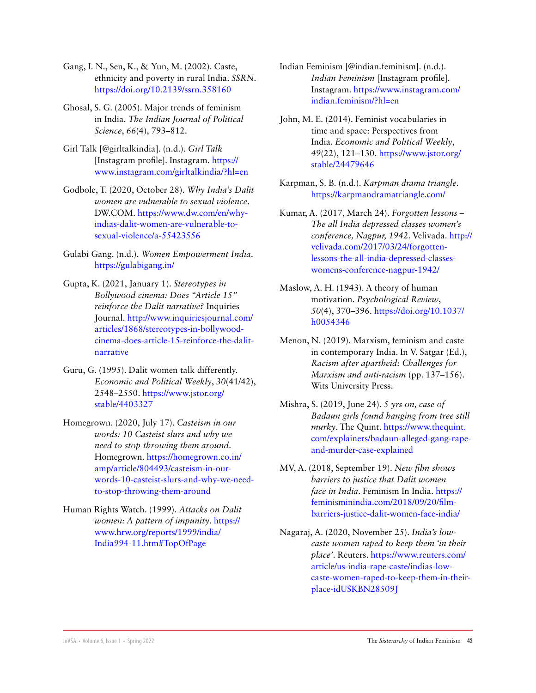Gang, I. N., Sen, K., & Yun, M. (2002). Caste, ethnicity and poverty in rural India. *SSRN*. <https://doi.org/10.2139/ssrn.358160>

Ghosal, S. G. (2005). Major trends of feminism in India. *The Indian Journal of Political Science*, *66*(4), 793–812.

Girl Talk [@girltalkindia]. (n.d.). *Girl Talk* [Instagram profile]. Instagram. [https://](https://www.instagram.com/girltalkindia/?hl=en) [www.instagram.com/girltalkindia/?hl=en](https://www.instagram.com/girltalkindia/?hl=en) 

Godbole, T. (2020, October 28). *Why India's Dalit women are vulnerable to sexual violence*. DW.COM. [https://www.dw.com/en/why](https://www.dw.com/en/why-indias-dalit-women-are-vulnerable-to-sexual-violence/a-55423556)[indias-dalit-women-are-vulnerable-to](https://www.dw.com/en/why-indias-dalit-women-are-vulnerable-to-sexual-violence/a-55423556)[sexual-violence/a-55423556](https://www.dw.com/en/why-indias-dalit-women-are-vulnerable-to-sexual-violence/a-55423556)

Gulabi Gang. (n.d.). *Women Empowerment India*. <https://gulabigang.in/>

Gupta, K. (2021, January 1). *Stereotypes in Bollywood cinema: Does "Article 15" reinforce the Dalit narrative?* Inquiries Journal. [http://www.inquiriesjournal.com/](http://www.inquiriesjournal.com/articles/1868/stereotypes-in-bollywood-cinema-does-article-15-reinforce-the-dalit-narrative) [articles/1868/stereotypes-in-bollywood](http://www.inquiriesjournal.com/articles/1868/stereotypes-in-bollywood-cinema-does-article-15-reinforce-the-dalit-narrative)[cinema-does-article-15-reinforce-the-dalit](http://www.inquiriesjournal.com/articles/1868/stereotypes-in-bollywood-cinema-does-article-15-reinforce-the-dalit-narrative)[narrative](http://www.inquiriesjournal.com/articles/1868/stereotypes-in-bollywood-cinema-does-article-15-reinforce-the-dalit-narrative) 

Guru, G. (1995). Dalit women talk differently. *Economic and Political Weekly*, *30*(41/42), 2548–2550. [https://www.jstor.org/](https://www.jstor.org/stable/4403327) [stable/4403327](https://www.jstor.org/stable/4403327)

Homegrown. (2020, July 17). *Casteism in our words: 10 Casteist slurs and why we need to stop throwing them around*. Homegrown. [https://homegrown.co.in/](https://homegrown.co.in/amp/article/804493/casteism-in-our-words-10-casteist-slurs-and-why-we-need-to-stop-throwing-them-around) [amp/article/804493/casteism-in-our](https://homegrown.co.in/amp/article/804493/casteism-in-our-words-10-casteist-slurs-and-why-we-need-to-stop-throwing-them-around)[words-10-casteist-slurs-and-why-we-need](https://homegrown.co.in/amp/article/804493/casteism-in-our-words-10-casteist-slurs-and-why-we-need-to-stop-throwing-them-around)[to-stop-throwing-them-around](https://homegrown.co.in/amp/article/804493/casteism-in-our-words-10-casteist-slurs-and-why-we-need-to-stop-throwing-them-around) 

Human Rights Watch. (1999). *Attacks on Dalit women: A pattern of impunity*. [https://](https://www.hrw.org/reports/1999/india/India994-11.htm#TopOfPage) [www.hrw.org/reports/1999/india/](https://www.hrw.org/reports/1999/india/India994-11.htm#TopOfPage) [India994-11.htm#TopOfPage](https://www.hrw.org/reports/1999/india/India994-11.htm#TopOfPage)

Indian Feminism [@indian.feminism]. (n.d.). *Indian Feminism* [Instagram profile]. Instagram. [https://www.instagram.com/](https://www.instagram.com/indian.feminism/?hl=en) [indian.feminism/?hl=en](https://www.instagram.com/indian.feminism/?hl=en)

John, M. E. (2014). Feminist vocabularies in time and space: Perspectives from India. *Economic and Political Weekly*, *49*(22), 121–130. [https://www.jstor.org/](https://www.jstor.org/stable/24479646) [stable/24479646](https://www.jstor.org/stable/24479646)

Karpman, S. B. (n.d.). *Karpman drama triangle*. <https://karpmandramatriangle.com/>

Kumar, A. (2017, March 24). *Forgotten lessons – The all India depressed classes women's conference, Nagpur, 1942*. Velivada. [http://](http://velivada.com/2017/03/24/forgotten-lessons-the-all-india-depressed-classes-womens-conference-nagpur-1942/) [velivada.com/2017/03/24/forgotten](http://velivada.com/2017/03/24/forgotten-lessons-the-all-india-depressed-classes-womens-conference-nagpur-1942/)[lessons-the-all-india-depressed-classes](http://velivada.com/2017/03/24/forgotten-lessons-the-all-india-depressed-classes-womens-conference-nagpur-1942/)[womens-conference-nagpur-1942/](http://velivada.com/2017/03/24/forgotten-lessons-the-all-india-depressed-classes-womens-conference-nagpur-1942/)

Maslow, A. H. (1943). A theory of human motivation. *Psychological Review*, *50*(4), 370–396. [https://doi.org/10.1037/](https://doi.org/10.1037/h0054346) [h0054346](https://doi.org/10.1037/h0054346) 

Menon, N. (2019). Marxism, feminism and caste in contemporary India. In V. Satgar (Ed.), *Racism after apartheid: Challenges for Marxism and anti-racism* (pp. 137–156). Wits University Press.

Mishra, S. (2019, June 24). *5 yrs on, case of Badaun girls found hanging from tree still murky*. The Quint. [https://www.thequint.](https://www.thequint.com/explainers/badaun-alleged-gang-rape-and-murder-case-explained) [com/explainers/badaun-alleged-gang-rape](https://www.thequint.com/explainers/badaun-alleged-gang-rape-and-murder-case-explained)[and-murder-case-explained](https://www.thequint.com/explainers/badaun-alleged-gang-rape-and-murder-case-explained)

MV, A. (2018, September 19). *New film shows barriers to justice that Dalit women face in India*. Feminism In India. [https://](https://feminisminindia.com/2018/09/20/film-barriers-justice-dalit-women-face-india/) [feminisminindia.com/2018/09/20/film](https://feminisminindia.com/2018/09/20/film-barriers-justice-dalit-women-face-india/)[barriers-justice-dalit-women-face-india/](https://feminisminindia.com/2018/09/20/film-barriers-justice-dalit-women-face-india/)

Nagaraj, A. (2020, November 25). *India's lowcaste women raped to keep them 'in their place'*. Reuters. [https://www.reuters.com/](https://www.reuters.com/article/us-india-rape-caste/indias-low-caste-women-raped-to-keep-them-in-their-place-idUSKBN28509J) [article/us-india-rape-caste/indias-low](https://www.reuters.com/article/us-india-rape-caste/indias-low-caste-women-raped-to-keep-them-in-their-place-idUSKBN28509J)[caste-women-raped-to-keep-them-in-their](https://www.reuters.com/article/us-india-rape-caste/indias-low-caste-women-raped-to-keep-them-in-their-place-idUSKBN28509J)[place-idUSKBN28509J](https://www.reuters.com/article/us-india-rape-caste/indias-low-caste-women-raped-to-keep-them-in-their-place-idUSKBN28509J)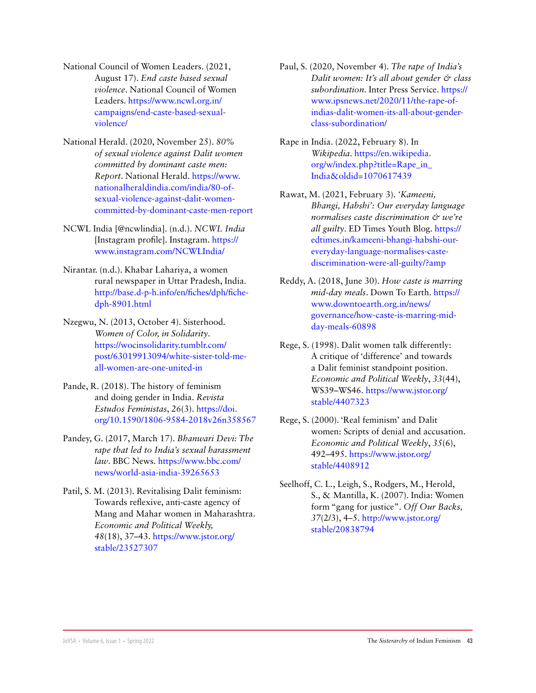- National Council of Women Leaders. (2021, August 17). *End caste based sexual violence*. National Council of Women Leaders. [https://www.ncwl.org.in/](https://www.ncwl.org.in/campaigns/end-caste-based-sexual-violence/) [campaigns/end-caste-based-sexual](https://www.ncwl.org.in/campaigns/end-caste-based-sexual-violence/)[violence/](https://www.ncwl.org.in/campaigns/end-caste-based-sexual-violence/)
- National Herald. (2020, November 25). *80% of sexual violence against Dalit women committed by dominant caste men: Report*. National Herald. [https://www.](https://www.nationalheraldindia.com/india/80-of-sexual-violence-against-dalit-women-committed-by-dominant-caste-men-report) [nationalheraldindia.com/india/80-of](https://www.nationalheraldindia.com/india/80-of-sexual-violence-against-dalit-women-committed-by-dominant-caste-men-report)[sexual-violence-against-dalit-women](https://www.nationalheraldindia.com/india/80-of-sexual-violence-against-dalit-women-committed-by-dominant-caste-men-report)[committed-by-dominant-caste-men-report](https://www.nationalheraldindia.com/india/80-of-sexual-violence-against-dalit-women-committed-by-dominant-caste-men-report)
- NCWL India [@ncwlindia]. (n.d.). *NCWL India* [Instagram profile]. Instagram. [https://](https://www.instagram.com/NCWLIndia/) [www.instagram.com/NCWLIndia/](https://www.instagram.com/NCWLIndia/)
- Nirantar. (n.d.). Khabar Lahariya, a women rural newspaper in Uttar Pradesh, India. [http://base.d-p-h.info/en/fiches/dph/fiche](http://base.d-p-h.info/en/fiches/dph/fiche-dph-8901.html)[dph-8901.html](http://base.d-p-h.info/en/fiches/dph/fiche-dph-8901.html)
- Nzegwu, N. (2013, October 4). Sisterhood. *Women of Color, in Solidarity*. [https://wocinsolidarity.tumblr.com/](https://wocinsolidarity.tumblr.com/post/63019913094/white-sister-told-me-all-women-are-one-united-in) [post/63019913094/white-sister-told-me](https://wocinsolidarity.tumblr.com/post/63019913094/white-sister-told-me-all-women-are-one-united-in)[all-women-are-one-united-in](https://wocinsolidarity.tumblr.com/post/63019913094/white-sister-told-me-all-women-are-one-united-in)
- Pande, R. (2018). The history of feminism and doing gender in India. *Revista Estudos Feministas*, *26*(3). [https://doi.](https://doi.org/10.1590/1806-9584-2018v26n358567) [org/10.1590/1806-9584-2018v26n358567](https://doi.org/10.1590/1806-9584-2018v26n358567)
- Pandey, G. (2017, March 17). *Bhanwari Devi: The rape that led to India's sexual harassment law*. BBC News. [https://www.bbc.com/](https://www.bbc.com/news/world-asia-india-39265653) [news/world-asia-india-39265653](https://www.bbc.com/news/world-asia-india-39265653)
- Patil, S. M. (2013). Revitalising Dalit feminism: Towards reflexive, anti-caste agency of Mang and Mahar women in Maharashtra. *Economic and Political Weekly, 48*(18), 37–43. [https://www.jstor.org/](https://www.jstor.org/stable/23527307) [stable/23527307](https://www.jstor.org/stable/23527307)
- Paul, S. (2020, November 4). *The rape of India's Dalit women: It's all about gender & class subordination*. Inter Press Service. [https://](https://www.ipsnews.net/2020/11/the-rape-of-indias-dalit-women-its-all-about-gender-class-subordination/) [www.ipsnews.net/2020/11/the-rape-of](https://www.ipsnews.net/2020/11/the-rape-of-indias-dalit-women-its-all-about-gender-class-subordination/)[indias-dalit-women-its-all-about-gender](https://www.ipsnews.net/2020/11/the-rape-of-indias-dalit-women-its-all-about-gender-class-subordination/)[class-subordination/](https://www.ipsnews.net/2020/11/the-rape-of-indias-dalit-women-its-all-about-gender-class-subordination/)
- Rape in India. (2022, February 8). In *Wikipedia*. [https://en.wikipedia.](https://en.wikipedia.org/w/index.php?title=Rape_in_India&oldid=1070617439) [org/w/index.php?title=Rape\\_in\\_](https://en.wikipedia.org/w/index.php?title=Rape_in_India&oldid=1070617439) [India&oldid=1070617439](https://en.wikipedia.org/w/index.php?title=Rape_in_India&oldid=1070617439)
- Rawat, M. (2021, February 3). *'Kameeni, Bhangi, Habshi': Our everyday language normalises caste discrimination & we're all guilty*. ED Times Youth Blog. [https://](https://edtimes.in/kameeni-bhangi-habshi-our-everyday-language-normalises-caste-discrimination-were-all-guilty/?amp) [edtimes.in/kameeni-bhangi-habshi-our](https://edtimes.in/kameeni-bhangi-habshi-our-everyday-language-normalises-caste-discrimination-were-all-guilty/?amp)[everyday-language-normalises-caste](https://edtimes.in/kameeni-bhangi-habshi-our-everyday-language-normalises-caste-discrimination-were-all-guilty/?amp)[discrimination-were-all-guilty/?amp](https://edtimes.in/kameeni-bhangi-habshi-our-everyday-language-normalises-caste-discrimination-were-all-guilty/?amp)
- Reddy, A. (2018, June 30). *How caste is marring mid-day meals*. Down To Earth. [https://](https://www.downtoearth.org.in/news/governance/how-caste-is-marring-mid-day-meals-60898) [www.downtoearth.org.in/news/](https://www.downtoearth.org.in/news/governance/how-caste-is-marring-mid-day-meals-60898) [governance/how-caste-is-marring-mid](https://www.downtoearth.org.in/news/governance/how-caste-is-marring-mid-day-meals-60898)[day-meals-60898](https://www.downtoearth.org.in/news/governance/how-caste-is-marring-mid-day-meals-60898)
- Rege, S. (1998). Dalit women talk differently: A critique of 'difference' and towards a Dalit feminist standpoint position. *Economic and Political Weekly*, *33*(44), WS39–WS46. [https://www.jstor.org/](https://www.jstor.org/stable/4407323) [stable/4407323](https://www.jstor.org/stable/4407323)
- Rege, S. (2000). 'Real feminism' and Dalit women: Scripts of denial and accusation. *Economic and Political Weekly*, *35*(6), 492–495. [https://www.jstor.org/](https://www.jstor.org/stable/4408912) [stable/4408912](https://www.jstor.org/stable/4408912)
- Seelhoff, C. L., Leigh, S., Rodgers, M., Herold, S., & Mantilla, K. (2007). India: Women form "gang for justice". *Off Our Backs, 37*(2/3), 4–5. [http://www.jstor.org/](http://www.jstor.org/stable/20838794) [stable/20838794](http://www.jstor.org/stable/20838794)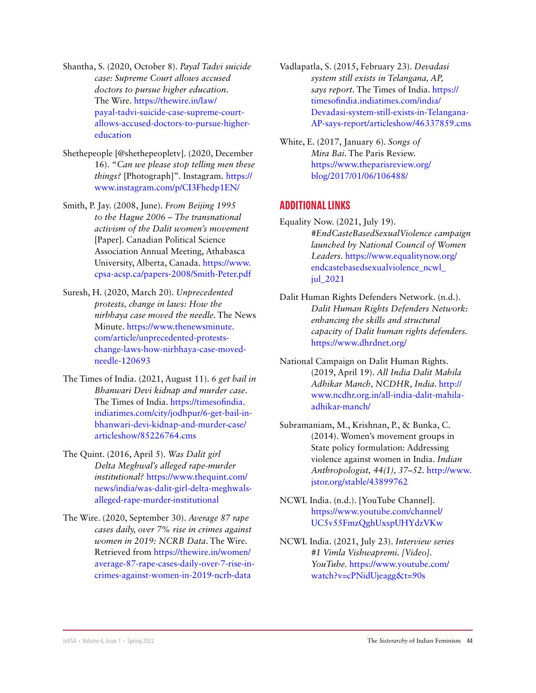- Shantha, S. (2020, October 8). *Payal Tadvi suicide case: Supreme Court allows accused doctors to pursue higher education*. The Wire. [https://thewire.in/law/](https://thewire.in/law/payal-tadvi-suicide-case-supreme-court-allows-accused-doctors-to-pursue-higher-education) [payal-tadvi-suicide-case-supreme-court](https://thewire.in/law/payal-tadvi-suicide-case-supreme-court-allows-accused-doctors-to-pursue-higher-education)[allows-accused-doctors-to-pursue-higher](https://thewire.in/law/payal-tadvi-suicide-case-supreme-court-allows-accused-doctors-to-pursue-higher-education)[education](https://thewire.in/law/payal-tadvi-suicide-case-supreme-court-allows-accused-doctors-to-pursue-higher-education)
- Shethepeople [@shethepeopletv]. (2020, December 16). "*Can we please stop telling men these things?* [Photograph]"*.* Instagram. [https://](https://www.instagram.com/p/CI3Fhedp1EN/) [www.instagram.com/p/CI3Fhedp1EN/](https://www.instagram.com/p/CI3Fhedp1EN/)
- Smith, P. Jay. (2008, June). *From Beijing 1995 to the Hague 2006 – The transnational activism of the Dalit women's movement* [Paper]. Canadian Political Science Association Annual Meeting, Athabasca University, Alberta, Canada. [https://www.](https://www.cpsa-acsp.ca/papers-2008/Smith-Peter.pdf) [cpsa-acsp.ca/papers-2008/Smith-Peter.pdf](https://www.cpsa-acsp.ca/papers-2008/Smith-Peter.pdf)
- Suresh, H. (2020, March 20). *Unprecedented protests, change in laws: How the nirbhaya case moved the needle*. The News Minute. [https://www.thenewsminute.](https://www.thenewsminute.com/article/unprecedented-protests-change-laws-how-nirbhaya-case-moved-needle-120693) [com/article/unprecedented-protests](https://www.thenewsminute.com/article/unprecedented-protests-change-laws-how-nirbhaya-case-moved-needle-120693)[change-laws-how-nirbhaya-case-moved](https://www.thenewsminute.com/article/unprecedented-protests-change-laws-how-nirbhaya-case-moved-needle-120693)[needle-120693](https://www.thenewsminute.com/article/unprecedented-protests-change-laws-how-nirbhaya-case-moved-needle-120693)
- The Times of India. (2021, August 11). *6 get bail in Bhanwari Devi kidnap and murder case*. The Times of India. [https://timesofindia.](https://timesofindia.indiatimes.com/city/jodhpur/6-get-bail-in-bhanwari-devi-kidnap-and-murder-case/articleshow/85226764.cms) [indiatimes.com/city/jodhpur/6-get-bail-in](https://timesofindia.indiatimes.com/city/jodhpur/6-get-bail-in-bhanwari-devi-kidnap-and-murder-case/articleshow/85226764.cms)[bhanwari-devi-kidnap-and-murder-case/](https://timesofindia.indiatimes.com/city/jodhpur/6-get-bail-in-bhanwari-devi-kidnap-and-murder-case/articleshow/85226764.cms) [articleshow/85226764.cms](https://timesofindia.indiatimes.com/city/jodhpur/6-get-bail-in-bhanwari-devi-kidnap-and-murder-case/articleshow/85226764.cms)
- The Quint. (2016, April 5). *Was Dalit girl Delta Meghwal's alleged rape-murder institutional?* [https://www.thequint.com/](https://www.thequint.com/news/india/was-dalit-girl-delta-meghwals-alleged-rape-murder-institutional) [news/india/was-dalit-girl-delta-meghwals](https://www.thequint.com/news/india/was-dalit-girl-delta-meghwals-alleged-rape-murder-institutional)[alleged-rape-murder-institutional](https://www.thequint.com/news/india/was-dalit-girl-delta-meghwals-alleged-rape-murder-institutional)
- The Wire. (2020, September 30). *Average 87 rape cases daily, over 7% rise in crimes against women in 2019: NCRB Data*. The Wire. Retrieved from [https://thewire.in/women/](https://thewire.in/women/average-87-rape-cases-daily-over-7-rise-in-crimes-against-women-in-2019-ncrb-data) [average-87-rape-cases-daily-over-7-rise-in](https://thewire.in/women/average-87-rape-cases-daily-over-7-rise-in-crimes-against-women-in-2019-ncrb-data)[crimes-against-women-in-2019-ncrb-data](https://thewire.in/women/average-87-rape-cases-daily-over-7-rise-in-crimes-against-women-in-2019-ncrb-data)
- Vadlapatla, S. (2015, February 23). *Devadasi system still exists in Telangana, AP, says report*. The Times of India. [https://](https://timesofindia.indiatimes.com/india/Devadasi-system-still-exists-in-Telangana-AP-says-report/articleshow/46337859.cms) [timesofindia.indiatimes.com/india/](https://timesofindia.indiatimes.com/india/Devadasi-system-still-exists-in-Telangana-AP-says-report/articleshow/46337859.cms) [Devadasi-system-still-exists-in-Telangana-](https://timesofindia.indiatimes.com/india/Devadasi-system-still-exists-in-Telangana-AP-says-report/articleshow/46337859.cms)[AP-says-report/articleshow/46337859.cms](https://timesofindia.indiatimes.com/india/Devadasi-system-still-exists-in-Telangana-AP-says-report/articleshow/46337859.cms)
- White, E. (2017, January 6). *Songs of Mira Bai*. The Paris Review. [https://www.theparisreview.org/](https://www.theparisreview.org/blog/2017/01/06/106488/) [blog/2017/01/06/106488/](https://www.theparisreview.org/blog/2017/01/06/106488/)

## **ADDITIONAL LINKS**

- Equality Now. (2021, July 19). *#EndCasteBasedSexualViolence campaign launched by National Council of Women Leaders.* [https://www.equalitynow.org/](https://www.equalitynow.org/endcastebasedsexualviolence_ncwl_jul_2021) [endcastebasedsexualviolence\\_ncwl\\_](https://www.equalitynow.org/endcastebasedsexualviolence_ncwl_jul_2021) [jul\\_2021](https://www.equalitynow.org/endcastebasedsexualviolence_ncwl_jul_2021)
- Dalit Human Rights Defenders Network. (n.d.). *Dalit Human Rights Defenders Network: enhancing the skills and structural capacity of Dalit human rights defenders.*  <https://www.dhrdnet.org/>
- National Campaign on Dalit Human Rights. (2019, April 19). *All India Dalit Mahila Adhikar Manch, NCDHR, India.* [http://](http://www.ncdhr.org.in/all-india-dalit-mahila-adhikar-manch/) [www.ncdhr.org.in/all-india-dalit-mahila](http://www.ncdhr.org.in/all-india-dalit-mahila-adhikar-manch/)[adhikar-manch/](http://www.ncdhr.org.in/all-india-dalit-mahila-adhikar-manch/)
- Subramaniam, M., Krishnan, P., & Bunka, C. (2014). Women's movement groups in State policy formulation: Addressing violence against women in India. *Indian Anthropologist, 44(1), 37–52.* [http://www.](http://www.jstor.org/stable/43899762) [jstor.org/stable/43899762](http://www.jstor.org/stable/43899762)
- NCWL India. (n.d.). [YouTube Channel]. [https://www.youtube.com/channel/](https://www.youtube.com/channel/UC5v55FmzQghUxspUHYdzVKw) [UC5v55FmzQghUxspUHYdzVKw](https://www.youtube.com/channel/UC5v55FmzQghUxspUHYdzVKw)
- NCWL India. (2021, July 23). *Interview series #1 Vimla Vishwapremi. [Video]. YouTube.* [https://www.youtube.com/](https://www.youtube.com/watch?v=cPNidUjeagg&t=90s) [watch?v=cPNidUjeagg&t=90s](https://www.youtube.com/watch?v=cPNidUjeagg&t=90s)